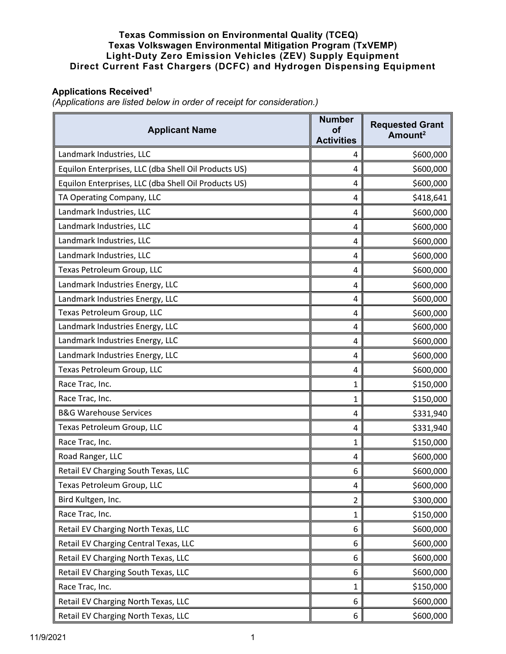## **Texas Commission on Environmental Quality (TCEQ) Texas Volkswagen Environmental Mitigation Program (TxVEMP) Light-Duty Zero Emission Vehicles (ZEV) Supply Equipment Direct Current Fast Chargers (DCFC) and Hydrogen Dispensing Equipment**

## **Applications Received1**

*(Applications are listed below in order of receipt for consideration.)*

| <b>Applicant Name</b>                                | <b>Number</b><br><b>of</b><br><b>Activities</b> | <b>Requested Grant</b><br>Amount <sup>2</sup> |
|------------------------------------------------------|-------------------------------------------------|-----------------------------------------------|
| Landmark Industries, LLC                             | 4                                               | \$600,000                                     |
| Equilon Enterprises, LLC (dba Shell Oil Products US) | 4                                               | \$600,000                                     |
| Equilon Enterprises, LLC (dba Shell Oil Products US) | 4                                               | \$600,000                                     |
| TA Operating Company, LLC                            | 4                                               | \$418,641                                     |
| Landmark Industries, LLC                             | 4                                               | \$600,000                                     |
| Landmark Industries, LLC                             | 4                                               | \$600,000                                     |
| Landmark Industries, LLC                             | 4                                               | \$600,000                                     |
| Landmark Industries, LLC                             | 4                                               | \$600,000                                     |
| Texas Petroleum Group, LLC                           | 4                                               | \$600,000                                     |
| Landmark Industries Energy, LLC                      | 4                                               | \$600,000                                     |
| Landmark Industries Energy, LLC                      | 4                                               | \$600,000                                     |
| Texas Petroleum Group, LLC                           | 4                                               | \$600,000                                     |
| Landmark Industries Energy, LLC                      | 4                                               | \$600,000                                     |
| Landmark Industries Energy, LLC                      | 4                                               | \$600,000                                     |
| Landmark Industries Energy, LLC                      | 4                                               | \$600,000                                     |
| Texas Petroleum Group, LLC                           | 4                                               | \$600,000                                     |
| Race Trac, Inc.                                      | 1                                               | \$150,000                                     |
| Race Trac, Inc.                                      | 1                                               | \$150,000                                     |
| <b>B&amp;G Warehouse Services</b>                    | 4                                               | \$331,940                                     |
| Texas Petroleum Group, LLC                           | 4                                               | \$331,940                                     |
| Race Trac, Inc.                                      | 1                                               | \$150,000                                     |
| Road Ranger, LLC                                     | 4                                               | \$600,000                                     |
| Retail EV Charging South Texas, LLC                  | 6                                               | \$600,000                                     |
| Texas Petroleum Group, LLC                           | 4                                               | \$600,000                                     |
| Bird Kultgen, Inc.                                   | $\overline{2}$                                  | \$300,000                                     |
| Race Trac, Inc.                                      | 1                                               | \$150,000                                     |
| Retail EV Charging North Texas, LLC                  | 6                                               | \$600,000                                     |
| Retail EV Charging Central Texas, LLC                | 6                                               | \$600,000                                     |
| Retail EV Charging North Texas, LLC                  | 6                                               | \$600,000                                     |
| Retail EV Charging South Texas, LLC                  | 6                                               | \$600,000                                     |
| Race Trac, Inc.                                      | 1                                               | \$150,000                                     |
| Retail EV Charging North Texas, LLC                  | 6                                               | \$600,000                                     |
| Retail EV Charging North Texas, LLC                  | 6                                               | \$600,000                                     |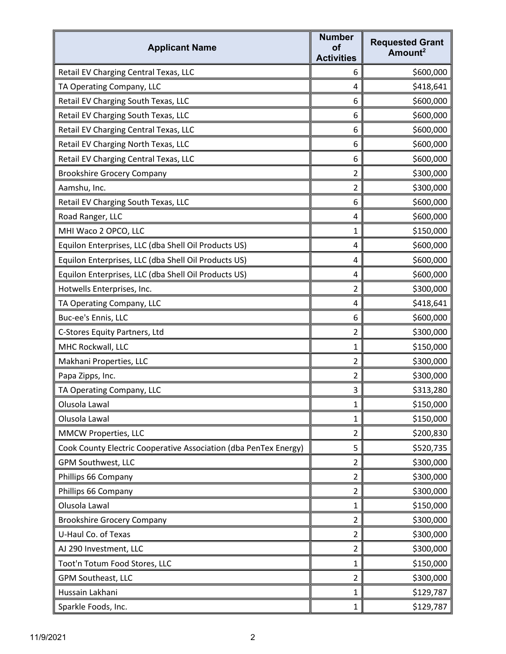| <b>Applicant Name</b>                                            | <b>Number</b><br>of<br><b>Activities</b> | <b>Requested Grant</b><br>Amount <sup>2</sup> |
|------------------------------------------------------------------|------------------------------------------|-----------------------------------------------|
| Retail EV Charging Central Texas, LLC                            | 6                                        | \$600,000                                     |
| TA Operating Company, LLC                                        | 4                                        | \$418,641                                     |
| Retail EV Charging South Texas, LLC                              | 6                                        | \$600,000                                     |
| Retail EV Charging South Texas, LLC                              | 6                                        | \$600,000                                     |
| Retail EV Charging Central Texas, LLC                            | 6                                        | \$600,000                                     |
| Retail EV Charging North Texas, LLC                              | 6                                        | \$600,000                                     |
| Retail EV Charging Central Texas, LLC                            | 6                                        | \$600,000                                     |
| <b>Brookshire Grocery Company</b>                                | 2                                        | \$300,000                                     |
| Aamshu, Inc.                                                     | $\overline{2}$                           | \$300,000                                     |
| Retail EV Charging South Texas, LLC                              | 6                                        | \$600,000                                     |
| Road Ranger, LLC                                                 | 4                                        | \$600,000                                     |
| MHI Waco 2 OPCO, LLC                                             | 1                                        | \$150,000                                     |
| Equilon Enterprises, LLC (dba Shell Oil Products US)             | 4                                        | \$600,000                                     |
| Equilon Enterprises, LLC (dba Shell Oil Products US)             | 4                                        | \$600,000                                     |
| Equilon Enterprises, LLC (dba Shell Oil Products US)             | 4                                        | \$600,000                                     |
| Hotwells Enterprises, Inc.                                       | $\overline{2}$                           | \$300,000                                     |
| TA Operating Company, LLC                                        | 4                                        | \$418,641                                     |
| Buc-ee's Ennis, LLC                                              | 6                                        | \$600,000                                     |
| C-Stores Equity Partners, Ltd                                    | 2                                        | \$300,000                                     |
| MHC Rockwall, LLC                                                | 1                                        | \$150,000                                     |
| Makhani Properties, LLC                                          | $\overline{2}$                           | \$300,000                                     |
| Papa Zipps, Inc.                                                 | $\overline{2}$                           | \$300,000                                     |
| TA Operating Company, LLC                                        | 3                                        | \$313,280                                     |
| Olusola Lawal                                                    | $\mathbf{1}$                             | \$150,000                                     |
| Olusola Lawal                                                    | 1                                        | \$150,000                                     |
| MMCW Properties, LLC                                             | $\overline{2}$                           | \$200,830                                     |
| Cook County Electric Cooperative Association (dba PenTex Energy) | 5                                        | \$520,735                                     |
| GPM Southwest, LLC                                               | 2                                        | \$300,000                                     |
| Phillips 66 Company                                              | $\overline{2}$                           | \$300,000                                     |
| Phillips 66 Company                                              | $\overline{2}$                           | \$300,000                                     |
| Olusola Lawal                                                    | 1                                        | \$150,000                                     |
| <b>Brookshire Grocery Company</b>                                | $\overline{2}$                           | \$300,000                                     |
| U-Haul Co. of Texas                                              | $\overline{2}$                           | \$300,000                                     |
| AJ 290 Investment, LLC                                           | $\overline{2}$                           | \$300,000                                     |
| Toot'n Totum Food Stores, LLC                                    | 1                                        | \$150,000                                     |
| GPM Southeast, LLC                                               | $\overline{2}$                           | \$300,000                                     |
| Hussain Lakhani                                                  | 1                                        | \$129,787                                     |
| Sparkle Foods, Inc.                                              | 1                                        | \$129,787                                     |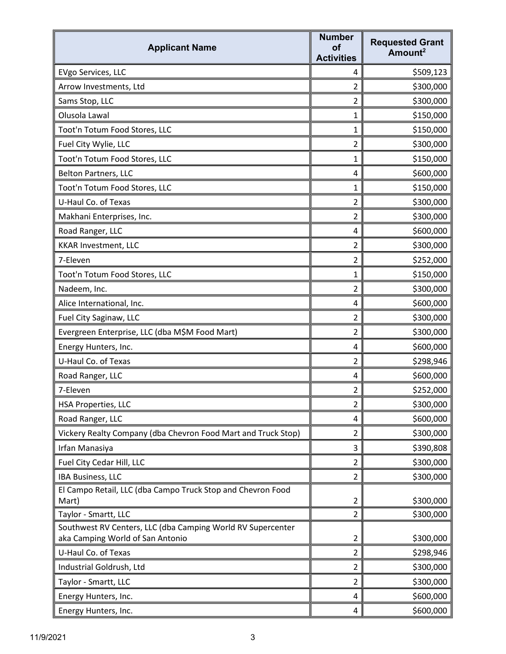| <b>Applicant Name</b>                                                | <b>Number</b><br>Οf<br><b>Activities</b> | <b>Requested Grant</b><br>Amount <sup>2</sup> |
|----------------------------------------------------------------------|------------------------------------------|-----------------------------------------------|
| EVgo Services, LLC                                                   | 4                                        | \$509,123                                     |
| Arrow Investments, Ltd                                               | 2                                        | \$300,000                                     |
| Sams Stop, LLC                                                       | $\overline{2}$                           | \$300,000                                     |
| Olusola Lawal                                                        | $\mathbf{1}$                             | \$150,000                                     |
| Toot'n Totum Food Stores, LLC                                        | $\mathbf{1}$                             | \$150,000                                     |
| Fuel City Wylie, LLC                                                 | $\overline{2}$                           | \$300,000                                     |
| Toot'n Totum Food Stores, LLC                                        | $\mathbf{1}$                             | \$150,000                                     |
| <b>Belton Partners, LLC</b>                                          | 4                                        | \$600,000                                     |
| Toot'n Totum Food Stores, LLC                                        | 1                                        | \$150,000                                     |
| U-Haul Co. of Texas                                                  | 2                                        | \$300,000                                     |
| Makhani Enterprises, Inc.                                            | $\overline{2}$                           | \$300,000                                     |
| Road Ranger, LLC                                                     | 4                                        | \$600,000                                     |
| <b>KKAR Investment, LLC</b>                                          | $\overline{2}$                           | \$300,000                                     |
| 7-Eleven                                                             | 2                                        | \$252,000                                     |
| Toot'n Totum Food Stores, LLC                                        | $\mathbf{1}$                             | \$150,000                                     |
| Nadeem, Inc.                                                         | $\overline{2}$                           | \$300,000                                     |
| Alice International, Inc.                                            | 4                                        | \$600,000                                     |
| Fuel City Saginaw, LLC                                               | $\overline{2}$                           | \$300,000                                     |
| Evergreen Enterprise, LLC (dba M\$M Food Mart)                       | $\overline{2}$                           | \$300,000                                     |
| Energy Hunters, Inc.                                                 | 4                                        | \$600,000                                     |
| U-Haul Co. of Texas                                                  | $\overline{2}$                           | \$298,946                                     |
| Road Ranger, LLC                                                     | 4                                        | \$600,000                                     |
| 7-Eleven                                                             | $\overline{2}$                           | \$252,000                                     |
| <b>HSA Properties, LLC</b>                                           | $\overline{2}$                           | \$300,000                                     |
| Road Ranger, LLC                                                     | 4                                        | \$600,000                                     |
| Vickery Realty Company (dba Chevron Food Mart and Truck Stop)        | $\overline{2}$                           | \$300,000                                     |
| Irfan Manasiya                                                       | 3                                        | \$390,808                                     |
| Fuel City Cedar Hill, LLC                                            | $\overline{2}$                           | \$300,000                                     |
| <b>IBA Business, LLC</b>                                             | $\overline{2}$                           | \$300,000                                     |
| El Campo Retail, LLC (dba Campo Truck Stop and Chevron Food<br>Mart) | $\overline{2}$                           | \$300,000                                     |
| Taylor - Smartt, LLC                                                 | $\overline{2}$                           | \$300,000                                     |
| Southwest RV Centers, LLC (dba Camping World RV Supercenter          |                                          |                                               |
| aka Camping World of San Antonio                                     | $\overline{2}$                           | \$300,000                                     |
| U-Haul Co. of Texas                                                  | $\overline{2}$                           | \$298,946                                     |
| Industrial Goldrush, Ltd                                             | $\overline{2}$                           | \$300,000                                     |
| Taylor - Smartt, LLC                                                 | $\overline{2}$                           | \$300,000                                     |
| Energy Hunters, Inc.                                                 | 4                                        | \$600,000                                     |
| Energy Hunters, Inc.                                                 | 4                                        | \$600,000                                     |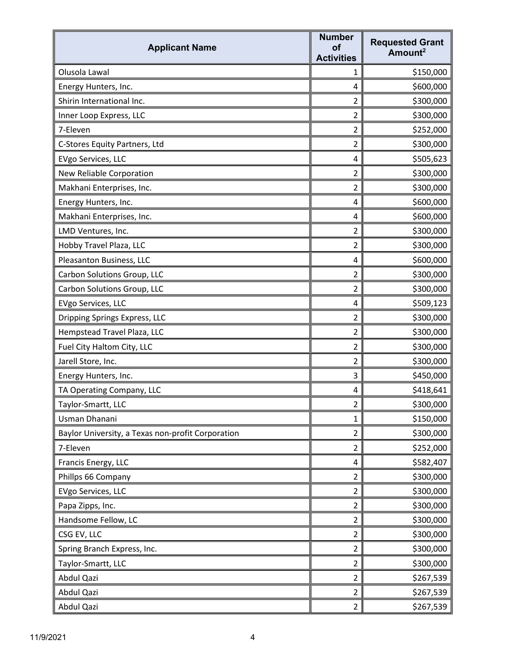| <b>Applicant Name</b>                             | <b>Number</b><br><b>of</b><br><b>Activities</b> | <b>Requested Grant</b><br>Amount <sup>2</sup> |
|---------------------------------------------------|-------------------------------------------------|-----------------------------------------------|
| Olusola Lawal                                     | 1                                               | \$150,000                                     |
| Energy Hunters, Inc.                              | 4                                               | \$600,000                                     |
| Shirin International Inc.                         | $\overline{2}$                                  | \$300,000                                     |
| Inner Loop Express, LLC                           | $\overline{2}$                                  | \$300,000                                     |
| 7-Eleven                                          | $\overline{2}$                                  | \$252,000                                     |
| C-Stores Equity Partners, Ltd                     | $\overline{2}$                                  | \$300,000                                     |
| EVgo Services, LLC                                | 4                                               | \$505,623                                     |
| New Reliable Corporation                          | $\overline{2}$                                  | \$300,000                                     |
| Makhani Enterprises, Inc.                         | $\overline{2}$                                  | \$300,000                                     |
| Energy Hunters, Inc.                              | 4                                               | \$600,000                                     |
| Makhani Enterprises, Inc.                         | 4                                               | \$600,000                                     |
| LMD Ventures, Inc.                                | $\overline{2}$                                  | \$300,000                                     |
| Hobby Travel Plaza, LLC                           | $\overline{2}$                                  | \$300,000                                     |
| Pleasanton Business, LLC                          | 4                                               | \$600,000                                     |
| Carbon Solutions Group, LLC                       | $\overline{2}$                                  | \$300,000                                     |
| Carbon Solutions Group, LLC                       | $\overline{2}$                                  | \$300,000                                     |
| EVgo Services, LLC                                | 4                                               | \$509,123                                     |
| Dripping Springs Express, LLC                     | $\overline{2}$                                  | \$300,000                                     |
| Hempstead Travel Plaza, LLC                       | $\overline{2}$                                  | \$300,000                                     |
| Fuel City Haltom City, LLC                        | $\overline{2}$                                  | \$300,000                                     |
| Jarell Store, Inc.                                | $\overline{2}$                                  | \$300,000                                     |
| Energy Hunters, Inc.                              | 3                                               | \$450,000                                     |
| TA Operating Company, LLC                         | 4                                               | \$418,641                                     |
| Taylor-Smartt, LLC                                | $\overline{2}$                                  | \$300,000                                     |
| Usman Dhanani                                     | $\mathbf{1}$                                    | \$150,000                                     |
| Baylor University, a Texas non-profit Corporation | $\overline{2}$                                  | \$300,000                                     |
| 7-Eleven                                          | $\overline{2}$                                  | \$252,000                                     |
| Francis Energy, LLC                               | 4                                               | \$582,407                                     |
| Phillps 66 Company                                | $\overline{2}$                                  | \$300,000                                     |
| EVgo Services, LLC                                | $\overline{2}$                                  | \$300,000                                     |
| Papa Zipps, Inc.                                  | $\overline{2}$                                  | \$300,000                                     |
| Handsome Fellow, LC                               | $\overline{2}$                                  | \$300,000                                     |
| CSG EV, LLC                                       | $\overline{2}$                                  | \$300,000                                     |
| Spring Branch Express, Inc.                       | $\overline{2}$                                  | \$300,000                                     |
| Taylor-Smartt, LLC                                | $\overline{2}$                                  | \$300,000                                     |
| Abdul Qazi                                        | $\overline{2}$                                  | \$267,539                                     |
| Abdul Qazi                                        | $\overline{2}$                                  | \$267,539                                     |
| Abdul Qazi                                        | $\overline{2}$                                  | \$267,539                                     |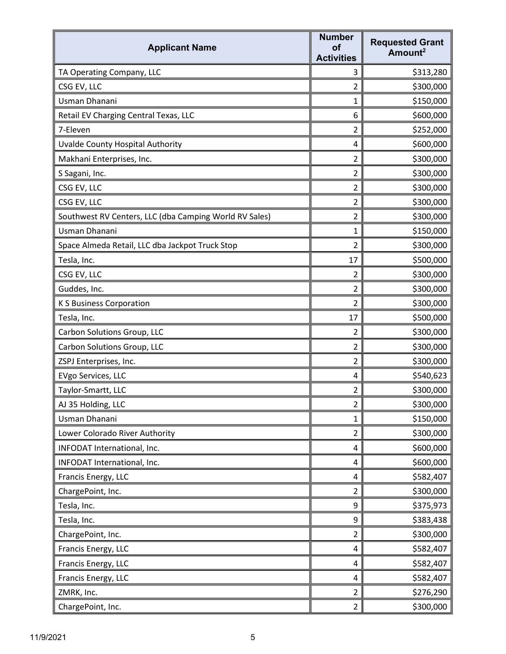| <b>Applicant Name</b>                                  | <b>Number</b><br><b>of</b><br><b>Activities</b> | <b>Requested Grant</b><br>Amount <sup>2</sup> |
|--------------------------------------------------------|-------------------------------------------------|-----------------------------------------------|
| TA Operating Company, LLC                              | 3                                               | \$313,280                                     |
| CSG EV, LLC                                            | $\overline{2}$                                  | \$300,000                                     |
| Usman Dhanani                                          | 1                                               | \$150,000                                     |
| Retail EV Charging Central Texas, LLC                  | 6                                               | \$600,000                                     |
| 7-Eleven                                               | $\overline{2}$                                  | \$252,000                                     |
| Uvalde County Hospital Authority                       | 4                                               | \$600,000                                     |
| Makhani Enterprises, Inc.                              | $\overline{2}$                                  | \$300,000                                     |
| S Sagani, Inc.                                         | $\overline{2}$                                  | \$300,000                                     |
| CSG EV, LLC                                            | $\overline{2}$                                  | \$300,000                                     |
| CSG EV, LLC                                            | $\overline{2}$                                  | \$300,000                                     |
| Southwest RV Centers, LLC (dba Camping World RV Sales) | 2                                               | \$300,000                                     |
| Usman Dhanani                                          | 1                                               | \$150,000                                     |
| Space Almeda Retail, LLC dba Jackpot Truck Stop        | $\overline{2}$                                  | \$300,000                                     |
| Tesla, Inc.                                            | 17                                              | \$500,000                                     |
| CSG EV, LLC                                            | $\overline{2}$                                  | \$300,000                                     |
| Guddes, Inc.                                           | $\overline{2}$                                  | \$300,000                                     |
| <b>K S Business Corporation</b>                        | $\overline{2}$                                  | \$300,000                                     |
| Tesla, Inc.                                            | 17                                              | \$500,000                                     |
| Carbon Solutions Group, LLC                            | $\overline{2}$                                  | \$300,000                                     |
| Carbon Solutions Group, LLC                            | $\overline{2}$                                  | \$300,000                                     |
| ZSPJ Enterprises, Inc.                                 | $\overline{2}$                                  | \$300,000                                     |
| EVgo Services, LLC                                     | 4                                               | \$540,623                                     |
| Taylor-Smartt, LLC                                     | $\overline{2}$                                  | \$300,000                                     |
| AJ 35 Holding, LLC                                     | $\overline{2}$                                  | \$300,000                                     |
| Usman Dhanani                                          | $\mathbf{1}$                                    | \$150,000                                     |
| Lower Colorado River Authority                         | $\overline{2}$                                  | \$300,000                                     |
| INFODAT International, Inc.                            | 4                                               | \$600,000                                     |
| INFODAT International, Inc.                            | 4                                               | \$600,000                                     |
| Francis Energy, LLC                                    | 4                                               | \$582,407                                     |
| ChargePoint, Inc.                                      | $\overline{2}$                                  | \$300,000                                     |
| Tesla, Inc.                                            | 9                                               | \$375,973                                     |
| Tesla, Inc.                                            | 9                                               | \$383,438                                     |
| ChargePoint, Inc.                                      | $\overline{2}$                                  | \$300,000                                     |
| Francis Energy, LLC                                    | 4                                               | \$582,407                                     |
| Francis Energy, LLC                                    | 4                                               | \$582,407                                     |
| Francis Energy, LLC                                    | 4                                               | \$582,407                                     |
| ZMRK, Inc.                                             | $\overline{2}$                                  | \$276,290                                     |
| ChargePoint, Inc.                                      | $\overline{2}$                                  | \$300,000                                     |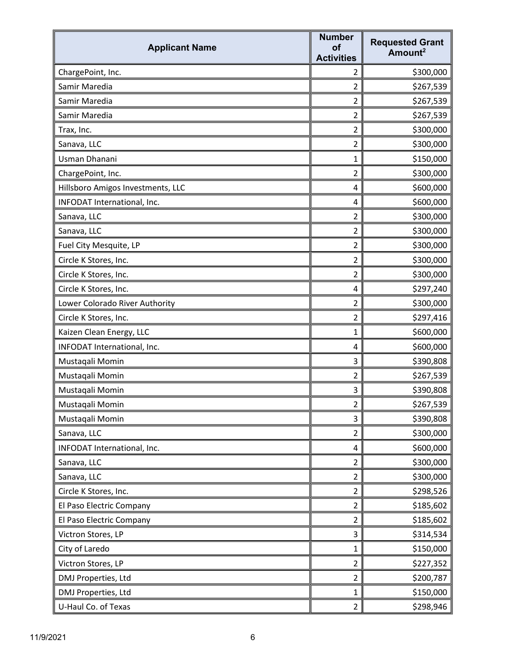| <b>Applicant Name</b>             | <b>Number</b><br><b>of</b><br><b>Activities</b> | <b>Requested Grant</b><br>Amount <sup>2</sup> |
|-----------------------------------|-------------------------------------------------|-----------------------------------------------|
| ChargePoint, Inc.                 | $\overline{2}$                                  | \$300,000                                     |
| Samir Maredia                     | $\overline{2}$                                  | \$267,539                                     |
| Samir Maredia                     | $\overline{2}$                                  | \$267,539                                     |
| Samir Maredia                     | $\overline{2}$                                  | \$267,539                                     |
| Trax, Inc.                        | $\overline{2}$                                  | \$300,000                                     |
| Sanava, LLC                       | $\overline{2}$                                  | \$300,000                                     |
| Usman Dhanani                     | $\mathbf{1}$                                    | \$150,000                                     |
| ChargePoint, Inc.                 | $\overline{2}$                                  | \$300,000                                     |
| Hillsboro Amigos Investments, LLC | 4                                               | \$600,000                                     |
| INFODAT International, Inc.       | 4                                               | \$600,000                                     |
| Sanava, LLC                       | 2                                               | \$300,000                                     |
| Sanava, LLC                       | $\overline{2}$                                  | \$300,000                                     |
| Fuel City Mesquite, LP            | $\overline{2}$                                  | \$300,000                                     |
| Circle K Stores, Inc.             | $\overline{2}$                                  | \$300,000                                     |
| Circle K Stores, Inc.             | $\overline{2}$                                  | \$300,000                                     |
| Circle K Stores, Inc.             | 4                                               | \$297,240                                     |
| Lower Colorado River Authority    | $\overline{2}$                                  | \$300,000                                     |
| Circle K Stores, Inc.             | $\overline{2}$                                  | \$297,416                                     |
| Kaizen Clean Energy, LLC          | 1                                               | \$600,000                                     |
| INFODAT International, Inc.       | 4                                               | \$600,000                                     |
| Mustaqali Momin                   | 3                                               | \$390,808                                     |
| Mustaqali Momin                   | $\overline{2}$                                  | \$267,539                                     |
| Mustaqali Momin                   | 3                                               | \$390,808                                     |
| Mustaqali Momin                   | $\overline{a}$                                  | \$267,539                                     |
| Mustaqali Momin                   | 3                                               | \$390,808                                     |
| Sanava, LLC                       | $\overline{2}$                                  | \$300,000                                     |
| INFODAT International, Inc.       | 4                                               | \$600,000                                     |
| Sanava, LLC                       | $\overline{2}$                                  | \$300,000                                     |
| Sanava, LLC                       | $\overline{2}$                                  | \$300,000                                     |
| Circle K Stores, Inc.             | $\overline{2}$                                  | \$298,526                                     |
| El Paso Electric Company          | $\overline{2}$                                  | \$185,602                                     |
| El Paso Electric Company          | $\overline{2}$                                  | \$185,602                                     |
| Victron Stores, LP                | 3                                               | \$314,534                                     |
| City of Laredo                    | $\mathbf{1}$                                    | \$150,000                                     |
| Victron Stores, LP                | $\overline{2}$                                  | \$227,352                                     |
| DMJ Properties, Ltd               | $\overline{2}$                                  | \$200,787                                     |
| DMJ Properties, Ltd               | $\mathbf{1}$                                    | \$150,000                                     |
| U-Haul Co. of Texas               | $\overline{2}$                                  | \$298,946                                     |